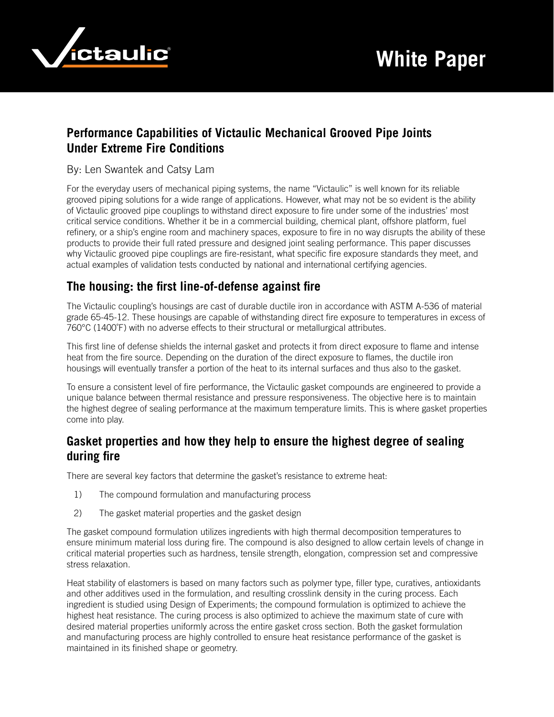

# **Performance Capabilities of Victaulic Mechanical Grooved Pipe Joints Under Extreme Fire Conditions**

#### By: Len Swantek and Catsy Lam

For the everyday users of mechanical piping systems, the name "Victaulic" is well known for its reliable grooved piping solutions for a wide range of applications. However, what may not be so evident is the ability of Victaulic grooved pipe couplings to withstand direct exposure to fire under some of the industries' most critical service conditions. Whether it be in a commercial building, chemical plant, offshore platform, fuel refinery, or a ship's engine room and machinery spaces, exposure to fire in no way disrupts the ability of these products to provide their full rated pressure and designed joint sealing performance. This paper discusses why Victaulic grooved pipe couplings are fire-resistant, what specific fire exposure standards they meet, and actual examples of validation tests conducted by national and international certifying agencies.

### **The housing: the first line-of-defense against fire**

The Victaulic coupling's housings are cast of durable ductile iron in accordance with ASTM A-536 of material grade 65-45-12. These housings are capable of withstanding direct fire exposure to temperatures in excess of 760°C (1400˚F) with no adverse effects to their structural or metallurgical attributes.

This first line of defense shields the internal gasket and protects it from direct exposure to flame and intense heat from the fire source. Depending on the duration of the direct exposure to flames, the ductile iron housings will eventually transfer a portion of the heat to its internal surfaces and thus also to the gasket.

To ensure a consistent level of fire performance, the Victaulic gasket compounds are engineered to provide a unique balance between thermal resistance and pressure responsiveness. The objective here is to maintain the highest degree of sealing performance at the maximum temperature limits. This is where gasket properties come into play.

### **Gasket properties and how they help to ensure the highest degree of sealing during fire**

There are several key factors that determine the gasket's resistance to extreme heat:

- 1) The compound formulation and manufacturing process
- 2) The gasket material properties and the gasket design

The gasket compound formulation utilizes ingredients with high thermal decomposition temperatures to ensure minimum material loss during fire. The compound is also designed to allow certain levels of change in critical material properties such as hardness, tensile strength, elongation, compression set and compressive stress relaxation.

Heat stability of elastomers is based on many factors such as polymer type, filler type, curatives, antioxidants and other additives used in the formulation, and resulting crosslink density in the curing process. Each ingredient is studied using Design of Experiments; the compound formulation is optimized to achieve the highest heat resistance. The curing process is also optimized to achieve the maximum state of cure with desired material properties uniformly across the entire gasket cross section. Both the gasket formulation and manufacturing process are highly controlled to ensure heat resistance performance of the gasket is maintained in its finished shape or geometry.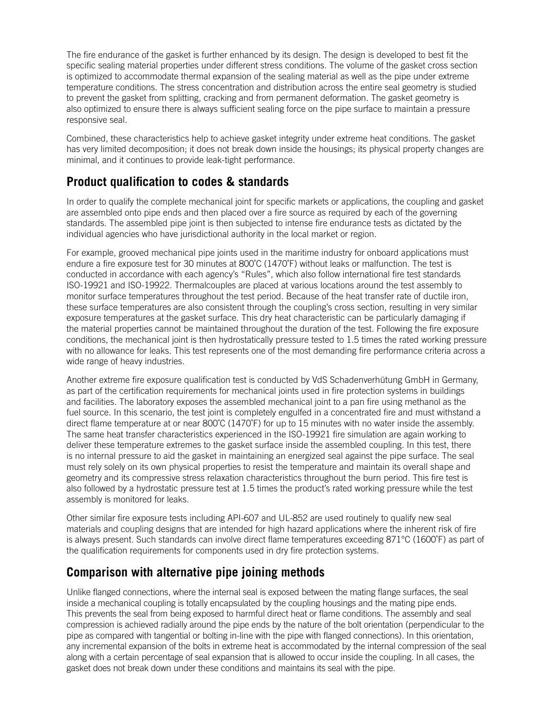The fire endurance of the gasket is further enhanced by its design. The design is developed to best fit the specific sealing material properties under different stress conditions. The volume of the gasket cross section is optimized to accommodate thermal expansion of the sealing material as well as the pipe under extreme temperature conditions. The stress concentration and distribution across the entire seal geometry is studied to prevent the gasket from splitting, cracking and from permanent deformation. The gasket geometry is also optimized to ensure there is always sufficient sealing force on the pipe surface to maintain a pressure responsive seal.

Combined, these characteristics help to achieve gasket integrity under extreme heat conditions. The gasket has very limited decomposition; it does not break down inside the housings; its physical property changes are minimal, and it continues to provide leak-tight performance.

# **Product qualification to codes & standards**

In order to qualify the complete mechanical joint for specific markets or applications, the coupling and gasket are assembled onto pipe ends and then placed over a fire source as required by each of the governing standards. The assembled pipe joint is then subjected to intense fire endurance tests as dictated by the individual agencies who have jurisdictional authority in the local market or region.

For example, grooved mechanical pipe joints used in the maritime industry for onboard applications must endure a fire exposure test for 30 minutes at 800°C (1470°F) without leaks or malfunction. The test is conducted in accordance with each agency's "Rules", which also follow international fire test standards ISO-19921 and ISO-19922. Thermalcouples are placed at various locations around the test assembly to monitor surface temperatures throughout the test period. Because of the heat transfer rate of ductile iron, these surface temperatures are also consistent through the coupling's cross section, resulting in very similar exposure temperatures at the gasket surface. This dry heat characteristic can be particularly damaging if the material properties cannot be maintained throughout the duration of the test. Following the fire exposure conditions, the mechanical joint is then hydrostatically pressure tested to 1.5 times the rated working pressure with no allowance for leaks. This test represents one of the most demanding fire performance criteria across a wide range of heavy industries.

Another extreme fire exposure qualification test is conducted by VdS Schadenverhütung GmbH in Germany, as part of the certification requirements for mechanical joints used in fire protection systems in buildings and facilities. The laboratory exposes the assembled mechanical joint to a pan fire using methanol as the fuel source. In this scenario, the test joint is completely engulfed in a concentrated fire and must withstand a direct flame temperature at or near 800˚C (1470˚F) for up to 15 minutes with no water inside the assembly. The same heat transfer characteristics experienced in the ISO-19921 fire simulation are again working to deliver these temperature extremes to the gasket surface inside the assembled coupling. In this test, there is no internal pressure to aid the gasket in maintaining an energized seal against the pipe surface. The seal must rely solely on its own physical properties to resist the temperature and maintain its overall shape and geometry and its compressive stress relaxation characteristics throughout the burn period. This fire test is also followed by a hydrostatic pressure test at 1.5 times the product's rated working pressure while the test assembly is monitored for leaks.

Other similar fire exposure tests including API-607 and UL-852 are used routinely to qualify new seal materials and coupling designs that are intended for high hazard applications where the inherent risk of fire is always present. Such standards can involve direct flame temperatures exceeding 871°C (1600˚F) as part of the qualification requirements for components used in dry fire protection systems.

# **Comparison with alternative pipe joining methods**

Unlike flanged connections, where the internal seal is exposed between the mating flange surfaces, the seal inside a mechanical coupling is totally encapsulated by the coupling housings and the mating pipe ends. This prevents the seal from being exposed to harmful direct heat or flame conditions. The assembly and seal compression is achieved radially around the pipe ends by the nature of the bolt orientation (perpendicular to the pipe as compared with tangential or bolting in-line with the pipe with flanged connections). In this orientation, any incremental expansion of the bolts in extreme heat is accommodated by the internal compression of the seal along with a certain percentage of seal expansion that is allowed to occur inside the coupling. In all cases, the gasket does not break down under these conditions and maintains its seal with the pipe.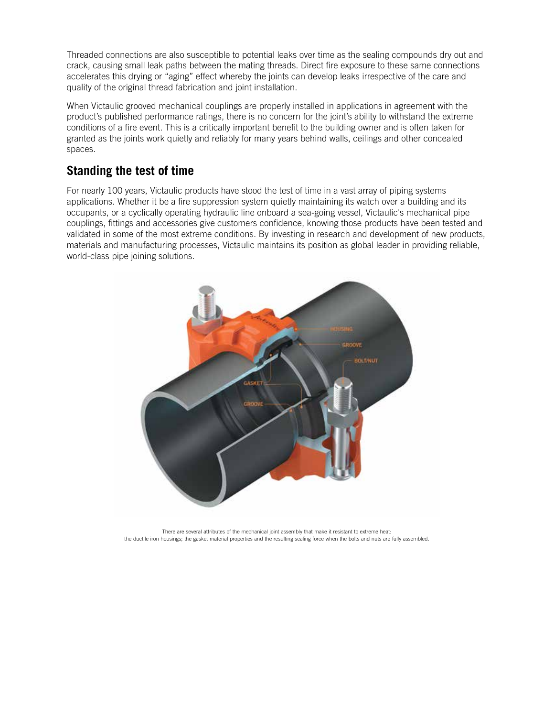Threaded connections are also susceptible to potential leaks over time as the sealing compounds dry out and crack, causing small leak paths between the mating threads. Direct fire exposure to these same connections accelerates this drying or "aging" effect whereby the joints can develop leaks irrespective of the care and quality of the original thread fabrication and joint installation.

When Victaulic grooved mechanical couplings are properly installed in applications in agreement with the product's published performance ratings, there is no concern for the joint's ability to withstand the extreme conditions of a fire event. This is a critically important benefit to the building owner and is often taken for granted as the joints work quietly and reliably for many years behind walls, ceilings and other concealed spaces.

### **Standing the test of time**

For nearly 100 years, Victaulic products have stood the test of time in a vast array of piping systems applications. Whether it be a fire suppression system quietly maintaining its watch over a building and its occupants, or a cyclically operating hydraulic line onboard a sea-going vessel, Victaulic's mechanical pipe couplings, fittings and accessories give customers confidence, knowing those products have been tested and validated in some of the most extreme conditions. By investing in research and development of new products, materials and manufacturing processes, Victaulic maintains its position as global leader in providing reliable, world-class pipe joining solutions.



There are several attributes of the mechanical joint assembly that make it resistant to extreme heat: the ductile iron housings; the gasket material properties and the resulting sealing force when the bolts and nuts are fully assembled.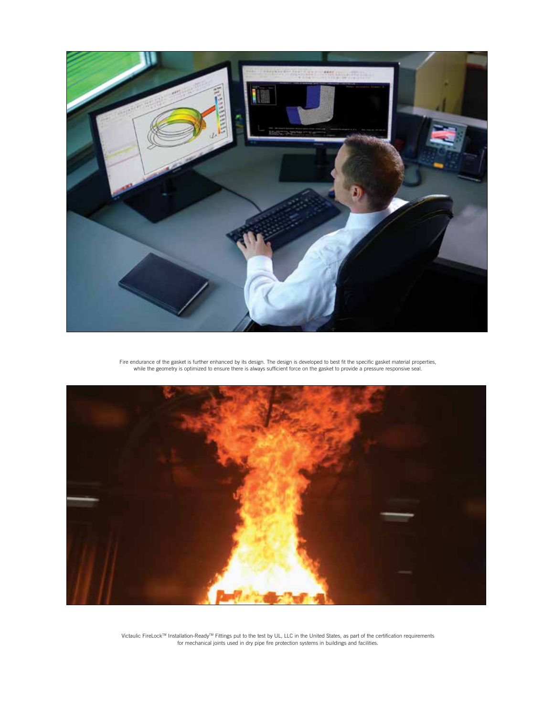

Fire endurance of the gasket is further enhanced by its design. The design is developed to best fit the specific gasket material properties,<br>while the geometry is optimized to ensure there is always sufficient force on the



Victaulic FireLock™ Installation-Ready™ Fittings put to the test by UL, LLC in the United States, as part of the certification requirements<br>for mechanical joints used in dry pipe fire protection systems in buildings and f